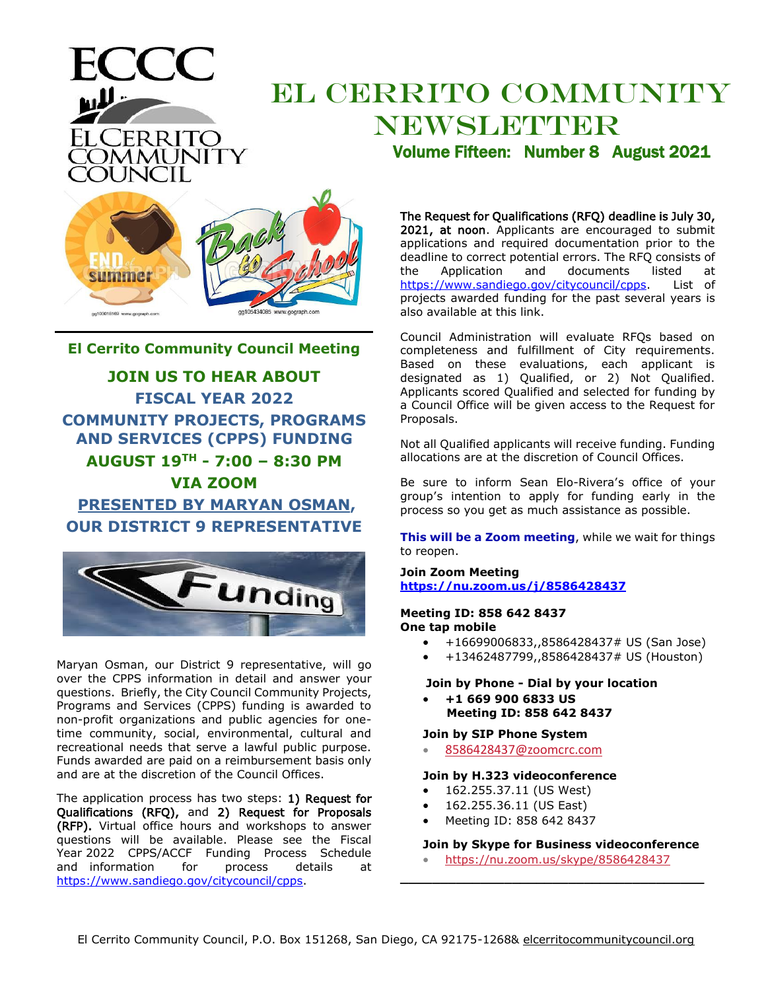# EL CERRITO COMMUNITY NEWSLETTER

www.gograph.com gg103018169 www.gograph.

ELCERRITO

**DMMUNITY** 

**El Cerrito Community Council Meeting JOIN US TO HEAR ABOUT FISCAL YEAR 2022 COMMUNITY PROJECTS, PROGRAMS AND SERVICES (CPPS) FUNDING AUGUST 19TH - 7:00 – 8:30 PM VIA ZOOM PRESENTED BY MARYAN OSMAN, OUR DISTRICT 9 REPRESENTATIVE**



Maryan Osman, our District 9 representative, will go over the CPPS information in detail and answer your questions. Briefly, the City Council Community Projects, Programs and Services (CPPS) funding is awarded to non-profit organizations and public agencies for onetime community, social, environmental, cultural and recreational needs that serve a lawful public purpose. Funds awarded are paid on a reimbursement basis only and are at the discretion of the Council Offices.

The application process has two steps: 1) Request for Qualifications (RFQ), and 2) Request for Proposals (RFP). Virtual office hours and workshops to answer questions will be available. Please see the Fiscal Year 2022 CPPS/ACCF Funding Process Schedule<br>and information for process details at and information for process details at [https://www.sandiego.gov/citycouncil/cpps.](https://www.sandiego.gov/citycouncil/cpps)

Volume Fifteen: Number 8 August 2021

The Request for Qualifications (RFQ) deadline is July 30, 2021, at noon. Applicants are encouraged to submit applications and required documentation prior to the deadline to correct potential errors. The RFQ consists of the Application and documents listed at [https://www.sandiego.gov/citycouncil/cpps.](https://www.sandiego.gov/citycouncil/cpps) List of projects awarded funding for the past several years is also available at this link.

Council Administration will evaluate RFQs based on completeness and fulfillment of City requirements. Based on these evaluations, each applicant is designated as 1) Qualified, or 2) Not Qualified. Applicants scored Qualified and selected for funding by a Council Office will be given access to the Request for Proposals.

Not all Qualified applicants will receive funding. Funding allocations are at the discretion of Council Offices.

Be sure to inform Sean Elo-Rivera's office of your group's intention to apply for funding early in the process so you get as much assistance as possible.

**This will be a Zoom meeting**, while we wait for things to reopen.

**Join Zoom Meeting <https://nu.zoom.us/j/8586428437>**

#### **Meeting ID: 858 642 8437 One tap mobile**

- +16699006833,,8586428437# US (San Jose)
- +13462487799,,8586428437# US (Houston)

#### **Join by Phone - Dial by your location**

• **+1 669 900 6833 US Meeting ID: 858 642 8437**

**Join by SIP Phone System**

• [8586428437@zoomcrc.com](mailto:7293715780@zoomcrc.com)

#### **Join by H.323 videoconference**

- 162.255.37.11 (US West)
- 162.255.36.11 (US East)
- Meeting ID: 858 642 8437

#### **Join by Skype for Business videoconference**

• [https://nu.zoom.us/skype/8586428437](https://nu.zoom.us/skype/7293715780) **\_\_\_\_\_\_\_\_\_\_\_\_\_\_\_\_\_\_\_\_\_\_\_\_\_\_\_\_\_\_\_\_\_\_\_\_\_\_**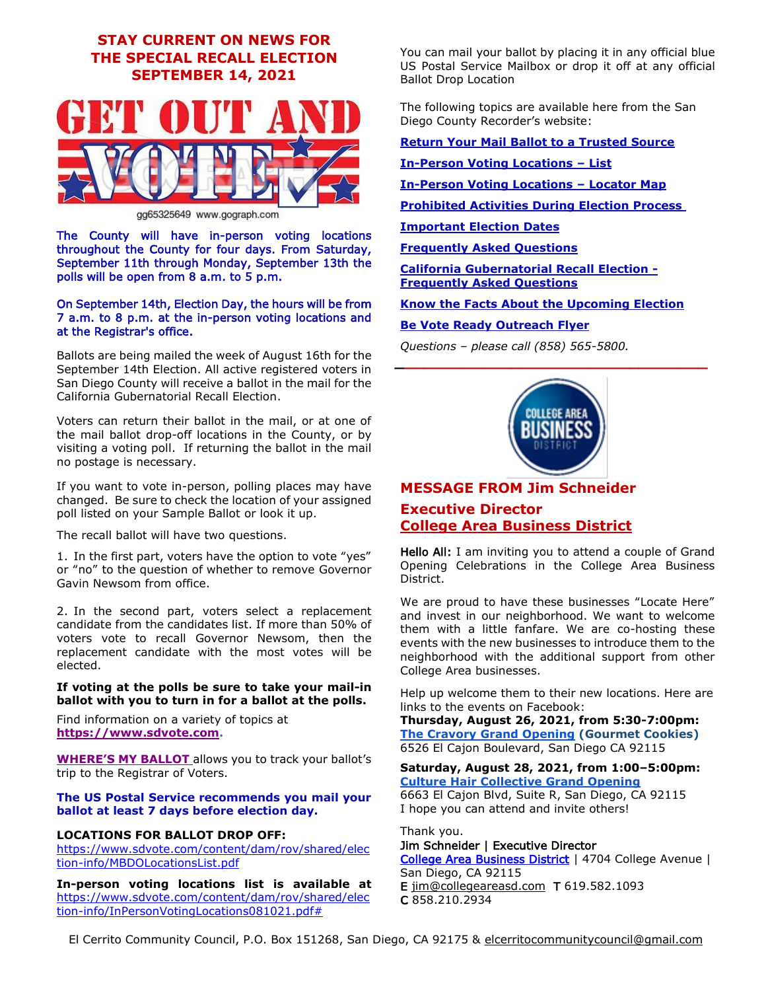# **STAY CURRENT ON NEWS FOR THE SPECIAL RECALL ELECTION SEPTEMBER 14, 2021**



gg65325649 www.gograph.com

The County will have in-person voting locations throughout the County for four days. From Saturday, September 11th through Monday, September 13th the polls will be open from 8 a.m. to 5 p.m.

#### On September 14th, Election Day, the hours will be from 7 a.m. to 8 p.m. at the in-person voting locations and at the Registrar's office.

Ballots are being mailed the week of August 16th for the September 14th Election. All active registered voters in San Diego County will receive a ballot in the mail for the California Gubernatorial Recall Election.

Voters can return their ballot in the mail, or at one of the mail ballot drop-off locations in the County, or by visiting a voting poll. If returning the ballot in the mail no postage is necessary.

If you want to vote in-person, polling places may have changed. Be sure to check the location of your assigned poll listed on your Sample Ballot or look it up.

The recall ballot will have two questions.

1. In the first [part,](https://www.sos.ca.gov/elections/recalls/current-recall-efforts/newsom-recall-faqs) voters have the option to vote "yes" or "no" to the question of whether to remove Governor Gavin Newsom from office.

2. In the second part, voters select a replacement candidate from the candidates list. If more than 50% of voters vote to recall Governor Newsom, then the replacement candidate with the most votes will be elected.

#### **If voting at the polls be sure to take your mail-in ballot with you to turn in for a ballot at the polls.**

Find information on a variety of topics at **[https://www.sdvote.com.](https://www.sdvote.com/)**

**[WHERE'S MY BALLOT](https://www.sdvote.com/content/rov/en/elections/wheres-my-ballot.html)** allows you to track your ballot's trip to the Registrar of Voters.

#### **The US Postal Service recommends you mail your ballot at least 7 days before election day.**

#### **LOCATIONS FOR BALLOT DROP OFF:**

[https://www.sdvote.com/content/dam/rov/shared/elec](https://www.sdvote.com/content/dam/rov/shared/election-info/MBDOLocationsList.pdf) [tion-info/MBDOLocationsList.pdf](https://www.sdvote.com/content/dam/rov/shared/election-info/MBDOLocationsList.pdf)

**In-person voting locations list is available at** [https://www.sdvote.com/content/dam/rov/shared/elec](https://www.sdvote.com/content/dam/rov/shared/election-info/InPersonVotingLocations081021.pdf) [tion-info/InPersonVotingLocations081021.pdf#](https://www.sdvote.com/content/dam/rov/shared/election-info/InPersonVotingLocations081021.pdf)

You can mail your ballot by placing it in any official blue US Postal Service Mailbox or drop it off at any official Ballot Drop Location

The following topics are available here from the San Diego County Recorder's website:

**[Return Your Mail Ballot to a Trusted Source](https://www.sdvote.com/content/rov/en/elections/return-to-trusted-source.html)**

#### **[In-Person Voting Locations](https://www.sdvote.com/content/dam/rov/shared/election-info/InPersonVotingLocations081021.pdf) – List**

**[In-Person Voting Locations](https://gis-portal.sandiegocounty.gov/arcgis/apps/webappviewer/index.html?id=2d812f5c8e1e43bcbda84c01c5d1a098) – Locator Map**

**[Prohibited Activities During Election Process](https://www.sdvote.com/content/dam/rov/en/pdf/ProhibitedActivitiesDuringElectionProcess2021En.pdf)**

**[Important Election Dates](https://www.sdvote.com/content/dam/rov/en/pdf/special-elections-2021/ImportantDates0721V2EN.pdf)**

**[Frequently Asked Questions](https://www.sdvote.com/content/dam/rov/en/pdf/special-elections-2021/202109CaliforniaGubernatorialRecallElectionFAQ_ENG.pdf)**

**[California Gubernatorial Recall Election -](https://www.sos.ca.gov/elections/upcoming-elections/2021-ca-gov-recall/newsom-recall-faqs) [Frequently Asked Questions](https://www.sos.ca.gov/elections/upcoming-elections/2021-ca-gov-recall/newsom-recall-faqs)**

**[Know the Facts About the Upcoming Election](https://www.sdvote.com/content/dam/rov/en/pdf/special-elections-2021/KnowTheFactsEn0721.pdf)**

#### **[Be Vote Ready Outreach Flyer](https://www.sdvote.com/content/dam/rov/en/pdf/special-elections-2021/BeVoteReady0721En.pdf)**

*Questions – please call (858) 565-5800.*



**\_\_\_\_\_\_\_\_\_\_\_\_\_\_\_\_\_\_\_\_\_\_\_\_\_\_\_\_\_\_\_\_**

# **MESSAGE FROM Jim Schneider Executive Director [College Area Business District](http://collegeareabid.com/)**

Hello All: I am inviting you to attend a couple of Grand Opening Celebrations in the College Area Business District.

We are proud to have these businesses "Locate Here" and invest in our neighborhood. We want to welcome them with a little fanfare. We are co-hosting these events with the new businesses to introduce them to the neighborhood with the additional support from other College Area businesses.

Help up welcome them to their new locations. Here are links to the events on Facebook:

**Thursday, August 26, 2021, from 5:30-7:00pm: [The Cravory Grand Opening](https://fb.me/e/1MdCbJR8I) (Gourmet Cookies)** 6526 El Cajon Boulevard, San Diego CA 92115

#### **Saturday, August 28, 2021, from 1:00–5:00pm: [Culture Hair Collective Grand Opening](https://fb.me/e/UbnJCiiU)**

6663 El Cajon Blvd, Suite R, San Diego, CA 92115 I hope you can attend and invite others!

Thank you. Jim Schneider | Executive Director

[College Area Business District](http://collegeareasd.com/) | 4704 College Avenue | San Diego, CA 92115 E [jim@collegeareasd.com](mailto:jim@collegeareasd.com) T 619.582.1093 C 858.210.2934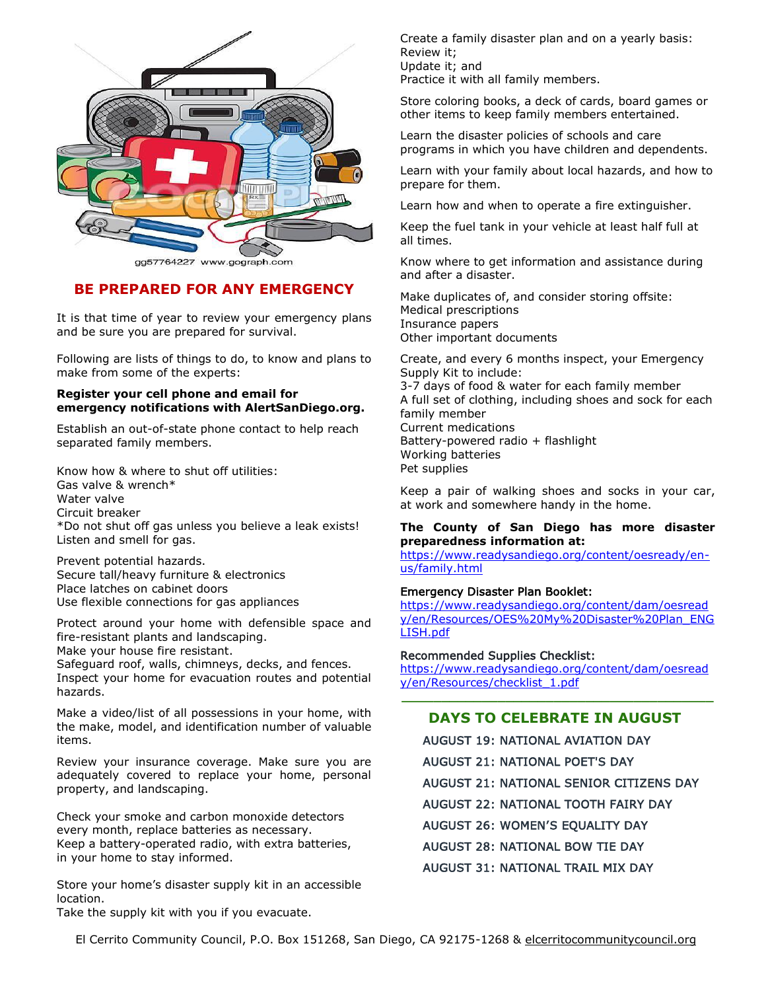

gg57764227 www.gograph.com

### **BE PREPARED FOR ANY EMERGENCY**

It is that time of year to review your emergency plans and be sure you are prepared for survival.

Following are lists of things to do, to know and plans to make from some of the experts:

#### **Register your cell phone and email for emergency notifications with AlertSanDiego.org.**

Establish an out-of-state phone contact to help reach separated family members.

Know how & where to shut off utilities: Gas valve & wrench\* Water valve Circuit breaker \*Do not shut off gas unless you believe a leak exists! Listen and smell for gas.

Prevent potential hazards. Secure tall/heavy furniture & electronics Place latches on cabinet doors Use flexible connections for gas appliances

Protect around your home with defensible space and fire-resistant plants and landscaping.

Make your house fire resistant. Safeguard roof, walls, chimneys, decks, and fences.

Inspect your home for evacuation routes and potential hazards.

Make a video/list of all possessions in your home, with the make, model, and identification number of valuable items.

Review your insurance coverage. Make sure you are adequately covered to replace your home, personal property, and landscaping.

Check your smoke and carbon monoxide detectors every month, replace batteries as necessary. Keep a battery-operated radio, with extra batteries, in your home to stay informed.

Store your home's disaster supply kit in an accessible location.

Take the supply kit with you if you evacuate.

Create a family disaster plan and on a yearly basis: Review it; Update it; and Practice it with all family members.

Store coloring books, a deck of cards, board games or other items to keep family members entertained.

Learn the disaster policies of schools and care programs in which you have children and dependents.

Learn with your family about local hazards, and how to prepare for them.

Learn how and when to operate a fire extinguisher.

Keep the fuel tank in your vehicle at least half full at all times.

Know where to get information and assistance during and after a disaster.

Make duplicates of, and consider storing offsite: Medical prescriptions Insurance papers Other important documents

Create, and every 6 months inspect, your Emergency Supply Kit to include: 3-7 days of food & water for each family member A full set of clothing, including shoes and sock for each family member Current medications Battery-powered radio + flashlight Working batteries Pet supplies

Keep a pair of walking shoes and socks in your car, at work and somewhere handy in the home.

#### **The County of San Diego has more disaster preparedness information at:**

[https://www.readysandiego.org/content/oesready/en](https://www.readysandiego.org/content/oesready/en-us/family.html)[us/family.html](https://www.readysandiego.org/content/oesready/en-us/family.html)

#### Emergency Disaster Plan Booklet:

[https://www.readysandiego.org/content/dam/oesread](https://www.readysandiego.org/content/dam/oesready/en/Resources/OES%20My%20Disaster%20Plan_ENGLISH.pdf) [y/en/Resources/OES%20My%20Disaster%20Plan\\_ENG](https://www.readysandiego.org/content/dam/oesready/en/Resources/OES%20My%20Disaster%20Plan_ENGLISH.pdf) [LISH.pdf](https://www.readysandiego.org/content/dam/oesready/en/Resources/OES%20My%20Disaster%20Plan_ENGLISH.pdf)

Recommended Supplies Checklist:

[https://www.readysandiego.org/content/dam/oesread](https://www.readysandiego.org/content/dam/oesready/en/Resources/checklist_1.pdf) [y/en/Resources/checklist\\_1.pdf](https://www.readysandiego.org/content/dam/oesready/en/Resources/checklist_1.pdf) **\_\_\_\_\_\_\_\_\_\_\_\_\_\_\_\_\_\_\_\_\_\_\_\_\_\_\_\_\_\_\_\_\_\_\_\_\_\_\_**

## **DAYS TO CELEBRATE IN AUGUST**

| <b>AUGUST 19: NATIONAL AVIATION DAY</b> |
|-----------------------------------------|
| AUGUST 21: NATIONAL POET'S DAY          |
| AUGUST 21: NATIONAL SENIOR CITIZENS DAY |
| AUGUST 22: NATIONAL TOOTH FAIRY DAY     |
| <b>AUGUST 26: WOMEN'S EOUALITY DAY</b>  |
| AUGUST 28: NATIONAL BOW TIE DAY         |
| AUGUST 31: NATIONAL TRAIL MIX DAY       |

El Cerrito Community Council, P.O. Box 151268, San Diego, CA 92175-1268 & elcerritocommunitycouncil.org